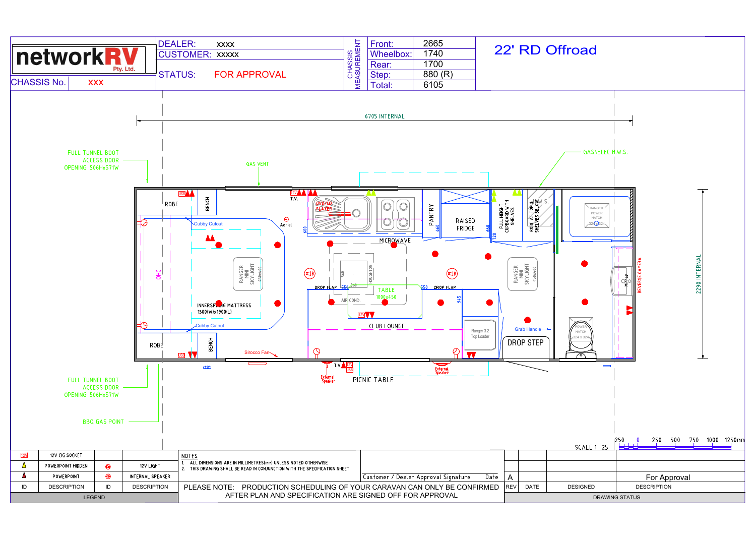